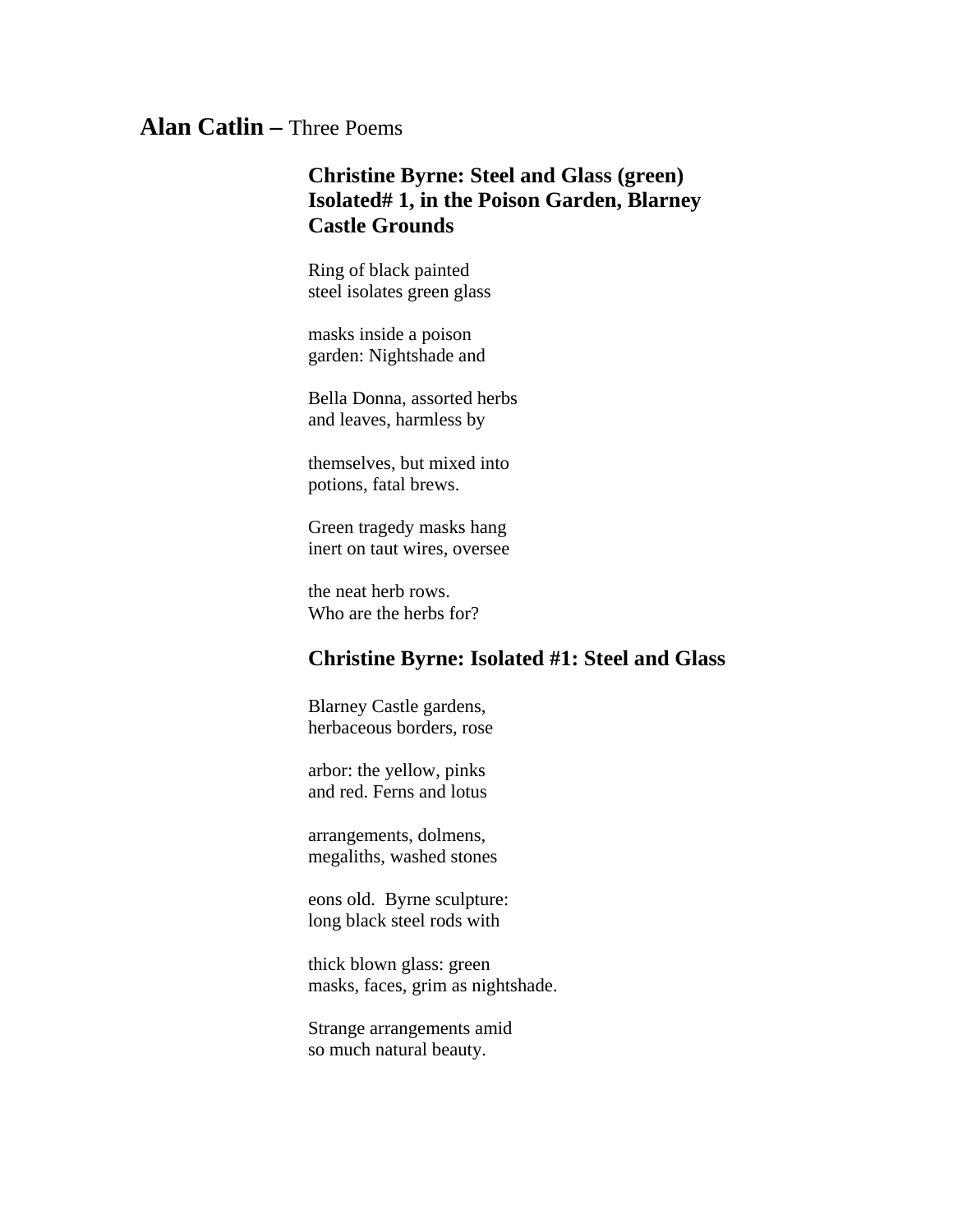## **Alan Catlin –** Three Poems

## **Christine Byrne: Steel and Glass (green) Isolated# 1, in the Poison Garden, Blarney Castle Grounds**

Ring of black painted steel isolates green glass

masks inside a poison garden: Nightshade and

Bella Donna, assorted herbs and leaves, harmless by

themselves, but mixed into potions, fatal brews.

Green tragedy masks hang inert on taut wires, oversee

the neat herb rows. Who are the herbs for?

## **Christine Byrne: Isolated #1: Steel and Glass**

Blarney Castle gardens, herbaceous borders, rose

arbor: the yellow, pinks and red. Ferns and lotus

arrangements, dolmens, megaliths, washed stones

eons old. Byrne sculpture: long black steel rods with

thick blown glass: green masks, faces, grim as nightshade.

Strange arrangements amid so much natural beauty.